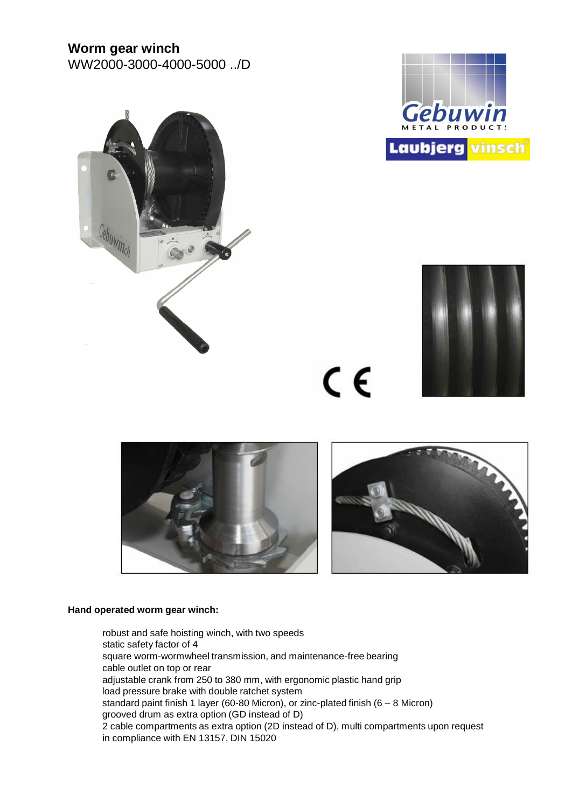# **Worm gear winch**

WW2000-3000-4000-5000 ../D







 $C \in$ 





#### **Hand operated worm gear winch:**

robust and safe hoisting winch, with two speeds static safety factor of 4 square worm-wormwheel transmission, and maintenance-free bearing cable outlet on top or rear adjustable crank from 250 to 380 mm, with ergonomic plastic hand grip load pressure brake with double ratchet system standard paint finish 1 layer (60-80 Micron), or zinc-plated finish ( $6 - 8$  Micron) grooved drum as extra option (GD instead of D) 2 cable compartments as extra option (2D instead of D), multi compartments upon request in compliance with EN 13157, DIN 15020